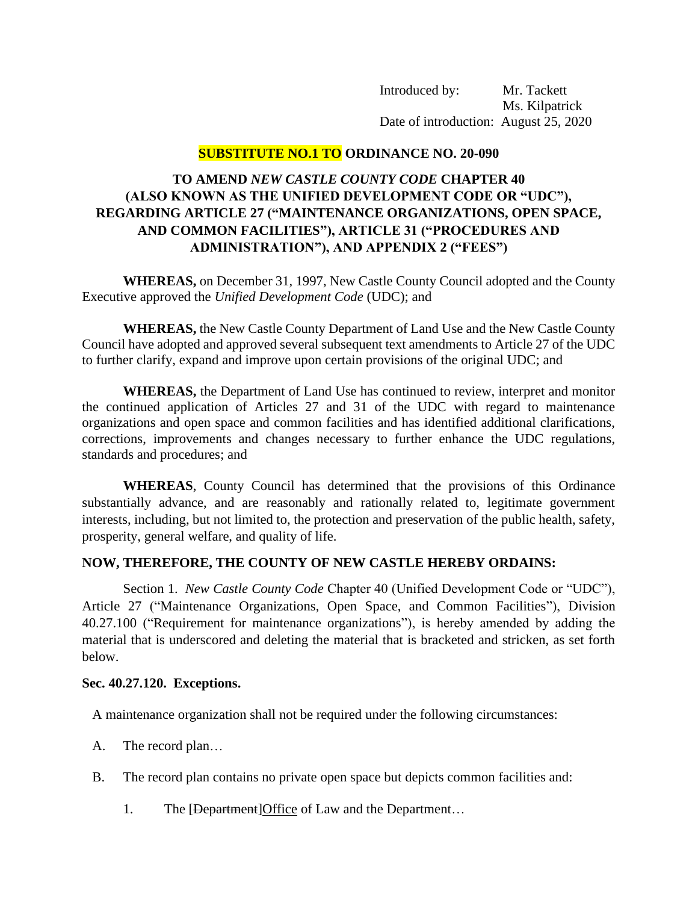Introduced by: Mr. Tackett Ms. Kilpatrick Date of introduction: August 25, 2020

# **SUBSTITUTE NO.1 TO ORDINANCE NO. 20-090**

# **TO AMEND** *NEW CASTLE COUNTY CODE* **CHAPTER 40 (ALSO KNOWN AS THE UNIFIED DEVELOPMENT CODE OR "UDC"), REGARDING ARTICLE 27 ("MAINTENANCE ORGANIZATIONS, OPEN SPACE, AND COMMON FACILITIES"), ARTICLE 31 ("PROCEDURES AND ADMINISTRATION"), AND APPENDIX 2 ("FEES")**

**WHEREAS,** on December 31, 1997, New Castle County Council adopted and the County Executive approved the *Unified Development Code* (UDC); and

**WHEREAS,** the New Castle County Department of Land Use and the New Castle County Council have adopted and approved several subsequent text amendments to Article 27 of the UDC to further clarify, expand and improve upon certain provisions of the original UDC; and

**WHEREAS,** the Department of Land Use has continued to review, interpret and monitor the continued application of Articles 27 and 31 of the UDC with regard to maintenance organizations and open space and common facilities and has identified additional clarifications, corrections, improvements and changes necessary to further enhance the UDC regulations, standards and procedures; and

**WHEREAS**, County Council has determined that the provisions of this Ordinance substantially advance, and are reasonably and rationally related to, legitimate government interests, including, but not limited to, the protection and preservation of the public health, safety, prosperity, general welfare, and quality of life.

# **NOW, THEREFORE, THE COUNTY OF NEW CASTLE HEREBY ORDAINS:**

Section 1. *New Castle County Code* Chapter 40 (Unified Development Code or "UDC"), Article 27 ("Maintenance Organizations, Open Space, and Common Facilities"), Division 40.27.100 ("Requirement for maintenance organizations"), is hereby amended by adding the material that is underscored and deleting the material that is bracketed and stricken, as set forth below.

#### **Sec. 40.27.120. Exceptions.**

A maintenance organization shall not be required under the following circumstances:

- A. The record plan…
- B. The record plan contains no private open space but depicts common facilities and:
	- 1. The [Department]Office of Law and the Department...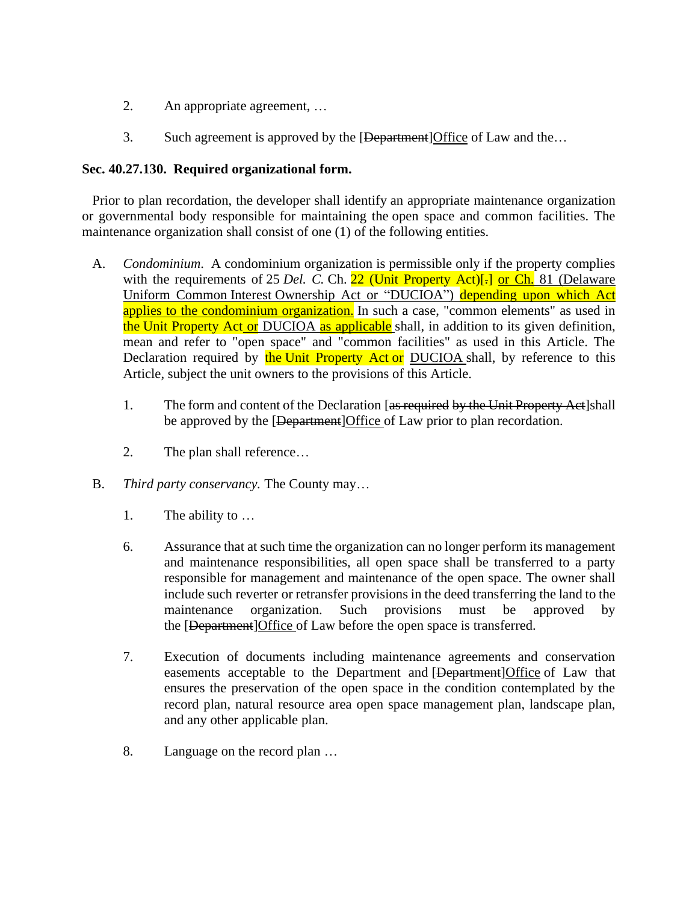- 2. An appropriate agreement, …
- 3. Such agreement is approved by the [Department] Office of Law and the...

## **Sec. 40.27.130. Required organizational form.**

Prior to plan recordation, the developer shall identify an appropriate maintenance organization or governmental body responsible for maintaining the open space and common facilities. The maintenance organization shall consist of one (1) of the following entities.

- A. *Condominium*. A condominium organization is permissible only if the property complies with the requirements of 25 *Del. C.* Ch. 22 (Unit Property Act)<sup>[-]</sup> or Ch. 81 (Delaware Uniform Common Interest Ownership Act or "DUCIOA") depending upon which Act applies to the condominium organization. In such a case, "common elements" as used in the Unit Property Act or DUCIOA as applicable shall, in addition to its given definition, mean and refer to "open space" and "common facilities" as used in this Article. The Declaration required by the Unit Property Act or DUCIOA shall, by reference to this Article, subject the unit owners to the provisions of this Article.
	- 1. The form and content of the Declaration [as required by the Unit Property Act]shall be approved by the [Department]Office of Law prior to plan recordation.
	- 2. The plan shall reference…
- B. *Third party conservancy.* The County may…
	- 1. The ability to …
	- 6. Assurance that at such time the organization can no longer perform its management and maintenance responsibilities, all open space shall be transferred to a party responsible for management and maintenance of the open space. The owner shall include such reverter or retransfer provisions in the deed transferring the land to the maintenance organization. Such provisions must be approved by the [Department]Office of Law before the open space is transferred.
	- 7. Execution of documents including maintenance agreements and conservation easements acceptable to the Department and [Department]Office of Law that ensures the preservation of the open space in the condition contemplated by the record plan, natural resource area open space management plan, landscape plan, and any other applicable plan.
	- 8. Language on the record plan …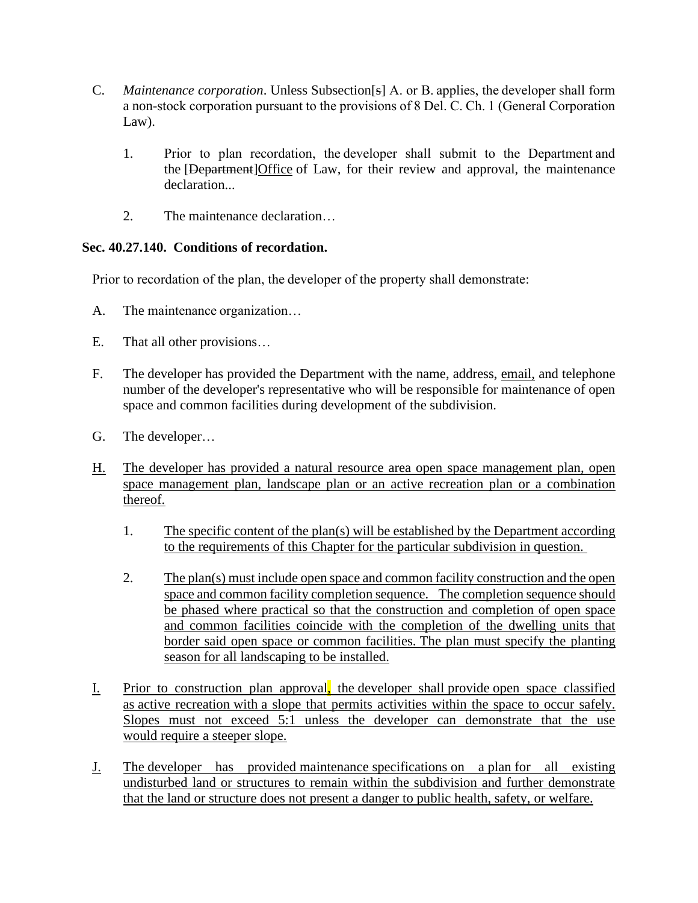- C. *Maintenance corporation*. Unless Subsection[s] A. or B. applies, the developer shall form a non-stock corporation pursuant to the provisions of 8 Del. C. Ch. 1 (General Corporation Law).
	- 1. Prior to plan recordation, the developer shall submit to the Department and the [Department]Office of Law, for their review and approval, the maintenance declaration...
	- 2. The maintenance declaration…

# **Sec. 40.27.140. Conditions of recordation.**

Prior to recordation of the plan, the developer of the property shall demonstrate:

- A. The maintenance organization…
- E. That all other provisions…
- F. The developer has provided the Department with the name, address, email, and telephone number of the developer's representative who will be responsible for maintenance of open space and common facilities during development of the subdivision.
- G. The developer…
- H. The developer has provided a natural resource area open space management plan, open space management plan, landscape plan or an active recreation plan or a combination thereof.
	- 1. The specific content of the plan(s) will be established by the Department according to the requirements of this Chapter for the particular subdivision in question.
	- 2. The plan(s) must include open space and common facility construction and the open space and common facility completion sequence. The completion sequence should be phased where practical so that the construction and completion of open space and common facilities coincide with the completion of the dwelling units that border said open space or common facilities. The plan must specify the planting season for all landscaping to be installed.
- I. Prior to construction plan approval, the developer shall provide open space classified as active recreation with a slope that permits activities within the space to occur safely. Slopes must not exceed 5:1 unless the developer can demonstrate that the use would require a steeper slope.
- J. The developer has provided maintenance specifications on a plan for all existing undisturbed land or structures to remain within the subdivision and further demonstrate that the land or structure does not present a danger to public health, safety, or welfare.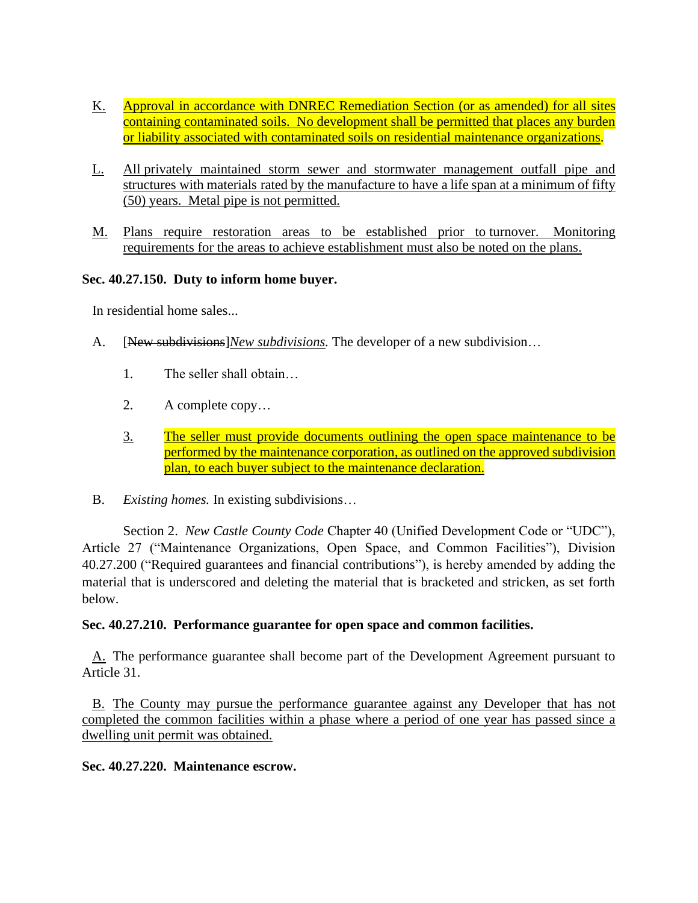- K. Approval in accordance with DNREC Remediation Section (or as amended) for all sites containing contaminated soils. No development shall be permitted that places any burden or liability associated with contaminated soils on residential maintenance organizations.
- L. All privately maintained storm sewer and stormwater management outfall pipe and structures with materials rated by the manufacture to have a life span at a minimum of fifty (50) years. Metal pipe is not permitted.
- M. Plans require restoration areas to be established prior to turnover. Monitoring requirements for the areas to achieve establishment must also be noted on the plans.

## **Sec. 40.27.150. Duty to inform home buyer.**

In residential home sales...

- A. [New subdivisions]*New subdivisions.* The developer of a new subdivision…
	- 1. The seller shall obtain…
	- 2. A complete copy…
	- 3. The seller must provide documents outlining the open space maintenance to be performed by the maintenance corporation, as outlined on the approved subdivision plan, to each buyer subject to the maintenance declaration.
- B. *Existing homes.* In existing subdivisions…

Section 2. *New Castle County Code* Chapter 40 (Unified Development Code or "UDC"), Article 27 ("Maintenance Organizations, Open Space, and Common Facilities"), Division 40.27.200 ("Required guarantees and financial contributions"), is hereby amended by adding the material that is underscored and deleting the material that is bracketed and stricken, as set forth below.

#### **Sec. 40.27.210. Performance guarantee for open space and common facilities.**

A. The performance guarantee shall become part of the Development Agreement pursuant to Article 31.

B. The County may pursue the performance guarantee against any Developer that has not completed the common facilities within a phase where a period of one year has passed since a dwelling unit permit was obtained.

#### **Sec. 40.27.220. Maintenance escrow.**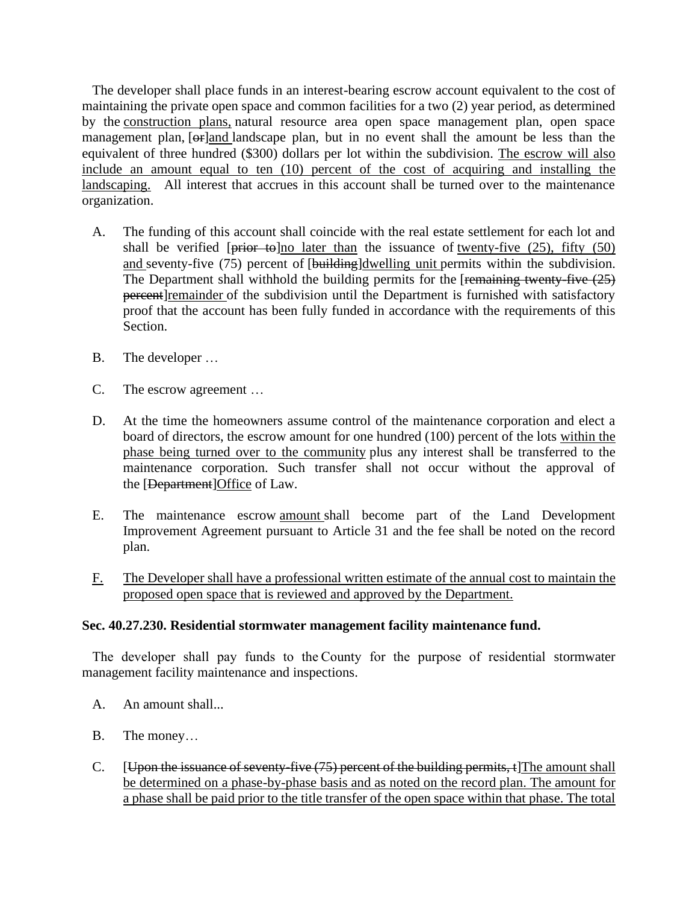The developer shall place funds in an interest-bearing escrow account equivalent to the cost of maintaining the private open space and common facilities for a two (2) year period, as determined by the construction plans, natural resource area open space management plan, open space management plan, [ $\Theta$ F]and landscape plan, but in no event shall the amount be less than the equivalent of three hundred (\$300) dollars per lot within the subdivision. The escrow will also include an amount equal to ten (10) percent of the cost of acquiring and installing the landscaping. All interest that accrues in this account shall be turned over to the maintenance organization.

- A. The funding of this account shall coincide with the real estate settlement for each lot and shall be verified  $[\text{prior}-\text{to}]$  no later than the issuance of twenty-five (25), fifty (50) and seventy-five (75) percent of [building]dwelling unit permits within the subdivision. The Department shall withhold the building permits for the  $[$ remaining twenty-five  $(25)$ percent remainder of the subdivision until the Department is furnished with satisfactory proof that the account has been fully funded in accordance with the requirements of this Section.
- B. The developer …
- C. The escrow agreement …
- D. At the time the homeowners assume control of the maintenance corporation and elect a board of directors, the escrow amount for one hundred (100) percent of the lots within the phase being turned over to the community plus any interest shall be transferred to the maintenance corporation. Such transfer shall not occur without the approval of the [Department]Office of Law.
- E. The maintenance escrow amount shall become part of the Land Development Improvement Agreement pursuant to Article 31 and the fee shall be noted on the record plan.
- F. The Developer shall have a professional written estimate of the annual cost to maintain the proposed open space that is reviewed and approved by the Department.

# **Sec. 40.27.230. Residential stormwater management facility maintenance fund.**

The developer shall pay funds to the County for the purpose of residential stormwater management facility maintenance and inspections.

- A. An amount shall...
- B. The money…
- C. [Upon the issuance of seventy-five (75) percent of the building permits, t]The amount shall be determined on a phase-by-phase basis and as noted on the record plan. The amount for a phase shall be paid prior to the title transfer of the open space within that phase. The total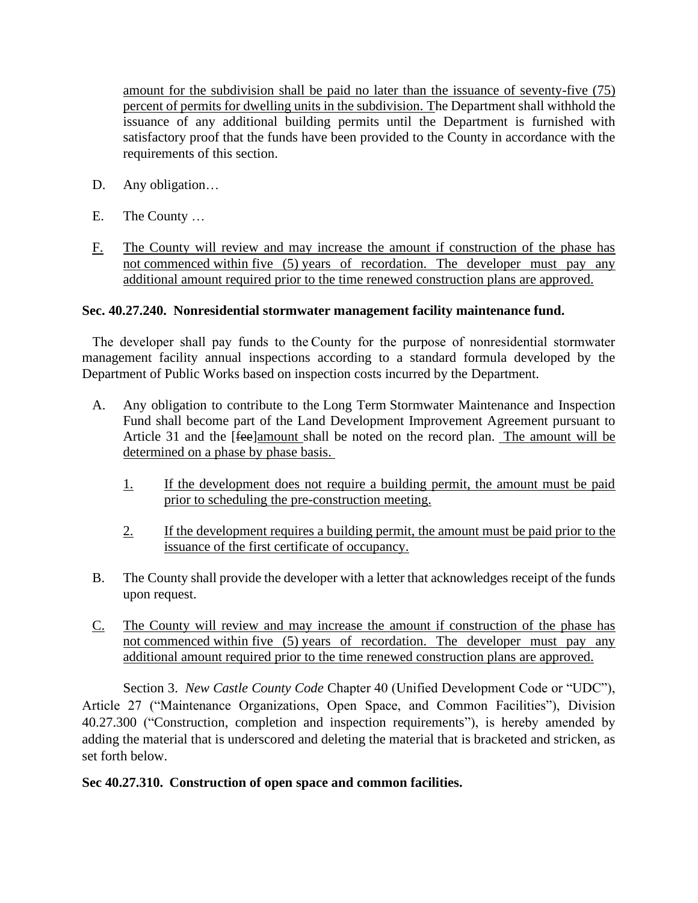amount for the subdivision shall be paid no later than the issuance of seventy-five (75) percent of permits for dwelling units in the subdivision. The Department shall withhold the issuance of any additional building permits until the Department is furnished with satisfactory proof that the funds have been provided to the County in accordance with the requirements of this section.

- D. Any obligation…
- E. The County …
- F. The County will review and may increase the amount if construction of the phase has not commenced within five (5) years of recordation. The developer must pay any additional amount required prior to the time renewed construction plans are approved.

## **Sec. 40.27.240. Nonresidential stormwater management facility maintenance fund.**

The developer shall pay funds to the County for the purpose of nonresidential stormwater management facility annual inspections according to a standard formula developed by the Department of Public Works based on inspection costs incurred by the Department.

- A. Any obligation to contribute to the Long Term Stormwater Maintenance and Inspection Fund shall become part of the Land Development Improvement Agreement pursuant to Article 31 and the [fee]amount shall be noted on the record plan. The amount will be determined on a phase by phase basis.
	- 1. If the development does not require a building permit, the amount must be paid prior to scheduling the pre-construction meeting.
	- 2. If the development requires a building permit, the amount must be paid prior to the issuance of the first certificate of occupancy.
- B. The County shall provide the developer with a letter that acknowledges receipt of the funds upon request.
- C. The County will review and may increase the amount if construction of the phase has not commenced within five (5) years of recordation. The developer must pay any additional amount required prior to the time renewed construction plans are approved.

Section 3. *New Castle County Code* Chapter 40 (Unified Development Code or "UDC"), Article 27 ("Maintenance Organizations, Open Space, and Common Facilities"), Division 40.27.300 ("Construction, completion and inspection requirements"), is hereby amended by adding the material that is underscored and deleting the material that is bracketed and stricken, as set forth below.

#### **Sec 40.27.310. Construction of open space and common facilities.**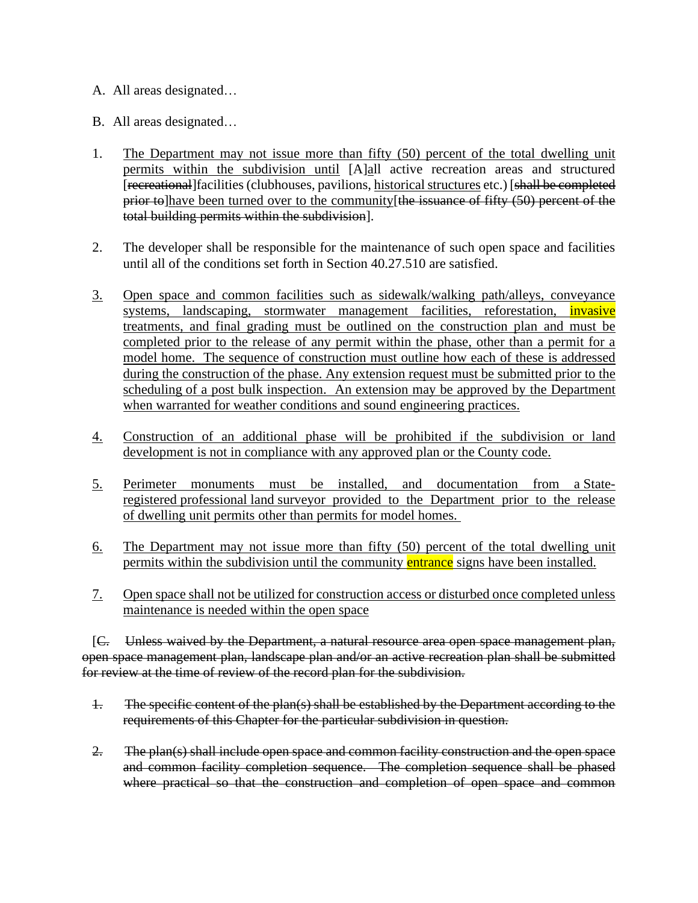- A. All areas designated…
- B. All areas designated…
- 1. The Department may not issue more than fifty (50) percent of the total dwelling unit permits within the subdivision until [A]all active recreation areas and structured [recreational]facilities (clubhouses, pavilions, historical structures etc.) [shall be completed prior to have been turned over to the community [the issuance of fifty (50) percent of the total building permits within the subdivision].
- 2. The developer shall be responsible for the maintenance of such open space and facilities until all of the conditions set forth in Section 40.27.510 are satisfied.
- 3. Open space and common facilities such as sidewalk/walking path/alleys, conveyance systems, landscaping, stormwater management facilities, reforestation, *invasive* treatments, and final grading must be outlined on the construction plan and must be completed prior to the release of any permit within the phase, other than a permit for a model home. The sequence of construction must outline how each of these is addressed during the construction of the phase. Any extension request must be submitted prior to the scheduling of a post bulk inspection. An extension may be approved by the Department when warranted for weather conditions and sound engineering practices.
- 4. Construction of an additional phase will be prohibited if the subdivision or land development is not in compliance with any approved plan or the County code.
- 5. Perimeter monuments must be installed, and documentation from a Stateregistered professional land surveyor provided to the Department prior to the release of dwelling unit permits other than permits for model homes.
- 6. The Department may not issue more than fifty (50) percent of the total dwelling unit permits within the subdivision until the community entrance signs have been installed.
- 7. Open space shall not be utilized for construction access or disturbed once completed unless maintenance is needed within the open space

[C. Unless waived by the Department, a natural resource area open space management plan, open space management plan, landscape plan and/or an active recreation plan shall be submitted for review at the time of review of the record plan for the subdivision.

- 1. The specific content of the plan(s) shall be established by the Department according to the requirements of this Chapter for the particular subdivision in question.
- 2. The plan(s) shall include open space and common facility construction and the open space and common facility completion sequence. The completion sequence shall be phased where practical so that the construction and completion of open space and common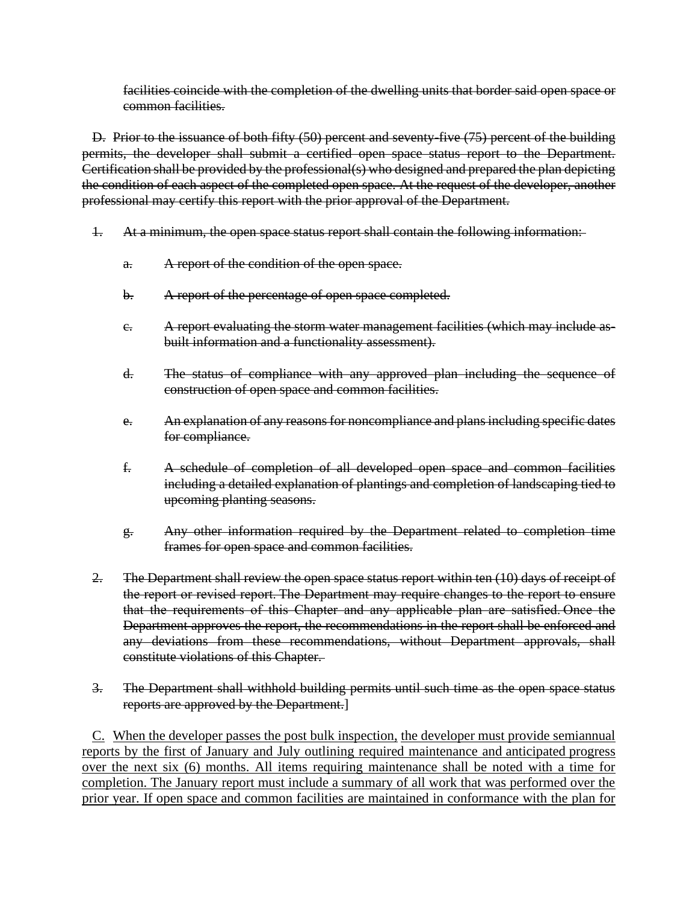facilities coincide with the completion of the dwelling units that border said open space or common facilities.

D. Prior to the issuance of both fifty (50) percent and seventy-five (75) percent of the building permits, the developer shall submit a certified open space status report to the Department. Certification shall be provided by the professional(s) who designed and prepared the plan depicting the condition of each aspect of the completed open space. At the request of the developer, another professional may certify this report with the prior approval of the Department.

- 1. At a minimum, the open space status report shall contain the following information:
	- a. A report of the condition of the open space.
	- b. A report of the percentage of open space completed.
	- c. A report evaluating the storm water management facilities (which may include asbuilt information and a functionality assessment).
	- d. The status of compliance with any approved plan including the sequence of construction of open space and common facilities.
	- e. An explanation of any reasons for noncompliance and plans including specific dates for compliance.
	- f. A schedule of completion of all developed open space and common facilities including a detailed explanation of plantings and completion of landscaping tied to upcoming planting seasons.
	- g. Any other information required by the Department related to completion time frames for open space and common facilities.
- 2. The Department shall review the open space status report within ten (10) days of receipt of the report or revised report. The Department may require changes to the report to ensure that the requirements of this Chapter and any applicable plan are satisfied. Once the Department approves the report, the recommendations in the report shall be enforced and any deviations from these recommendations, without Department approvals, shall constitute violations of this Chapter.

## 3. The Department shall withhold building permits until such time as the open space status reports are approved by the Department.]

C. When the developer passes the post bulk inspection, the developer must provide semiannual reports by the first of January and July outlining required maintenance and anticipated progress over the next six (6) months. All items requiring maintenance shall be noted with a time for completion. The January report must include a summary of all work that was performed over the prior year. If open space and common facilities are maintained in conformance with the plan for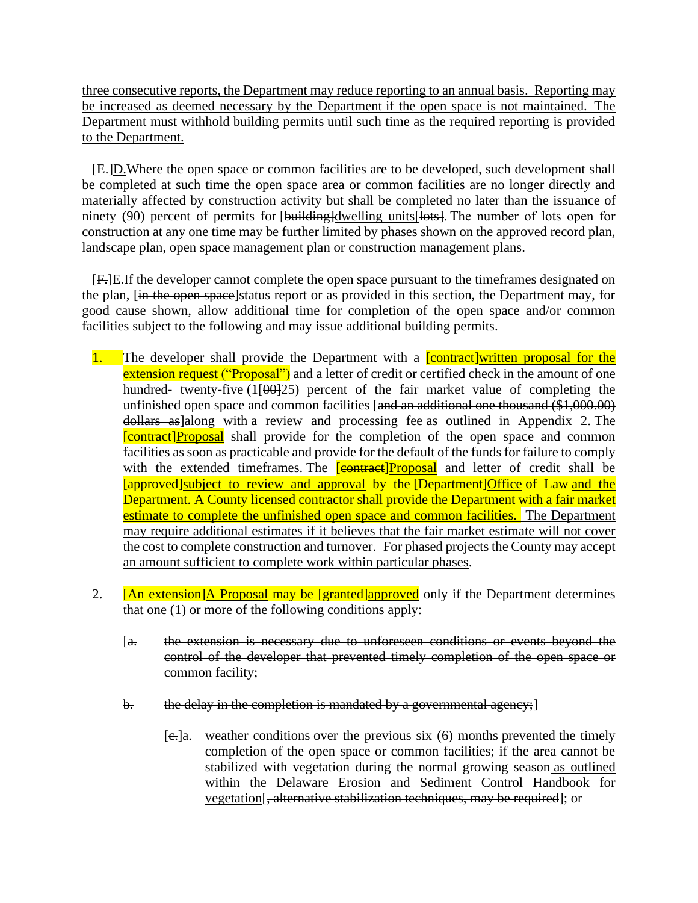three consecutive reports, the Department may reduce reporting to an annual basis. Reporting may be increased as deemed necessary by the Department if the open space is not maintained. The Department must withhold building permits until such time as the required reporting is provided to the Department.

[E.]D.Where the open space or common facilities are to be developed, such development shall be completed at such time the open space area or common facilities are no longer directly and materially affected by construction activity but shall be completed no later than the issuance of ninety (90) percent of permits for [building]dwelling units [lots]. The number of lots open for construction at any one time may be further limited by phases shown on the approved record plan, landscape plan, open space management plan or construction management plans.

[F.]E.If the developer cannot complete the open space pursuant to the timeframes designated on the plan, [in the open space]status report or as provided in this section, the Department may, for good cause shown, allow additional time for completion of the open space and/or common facilities subject to the following and may issue additional building permits.

- 1. The developer shall provide the Department with a **[contract]written proposal for the** extension request ("Proposal") and a letter of credit or certified check in the amount of one hundred- twenty-five  $(1[00]25)$  percent of the fair market value of completing the unfinished open space and common facilities [and an additional one thousand (\$1,000.00) dollars as all along with a review and processing fee as outlined in Appendix 2. The **Example 6 Example 1 Contract Proposal** shall provide for the completion of the open space and common facilities as soon as practicable and provide for the default of the funds for failure to comply with the extended timeframes. The **[contract]Proposal** and letter of credit shall be [approved] subject to review and approval by the [Department] Office of Law and the Department. A County licensed contractor shall provide the Department with a fair market estimate to complete the unfinished open space and common facilities. The Department may require additional estimates if it believes that the fair market estimate will not cover the cost to complete construction and turnover. For phased projects the County may accept an amount sufficient to complete work within particular phases.
- 2. **[An extension]** A Proposal may be [granted] approved only if the Department determines that one (1) or more of the following conditions apply:
	- [a. the extension is necessary due to unforeseen conditions or events beyond the control of the developer that prevented timely completion of the open space or common facility;
	- b. the delay in the completion is mandated by a governmental agency;]
		- $[e, a]$ . weather conditions over the previous six (6) months prevented the timely completion of the open space or common facilities; if the area cannot be stabilized with vegetation during the normal growing season as outlined within the Delaware Erosion and Sediment Control Handbook for vegetation[, alternative stabilization techniques, may be required]; or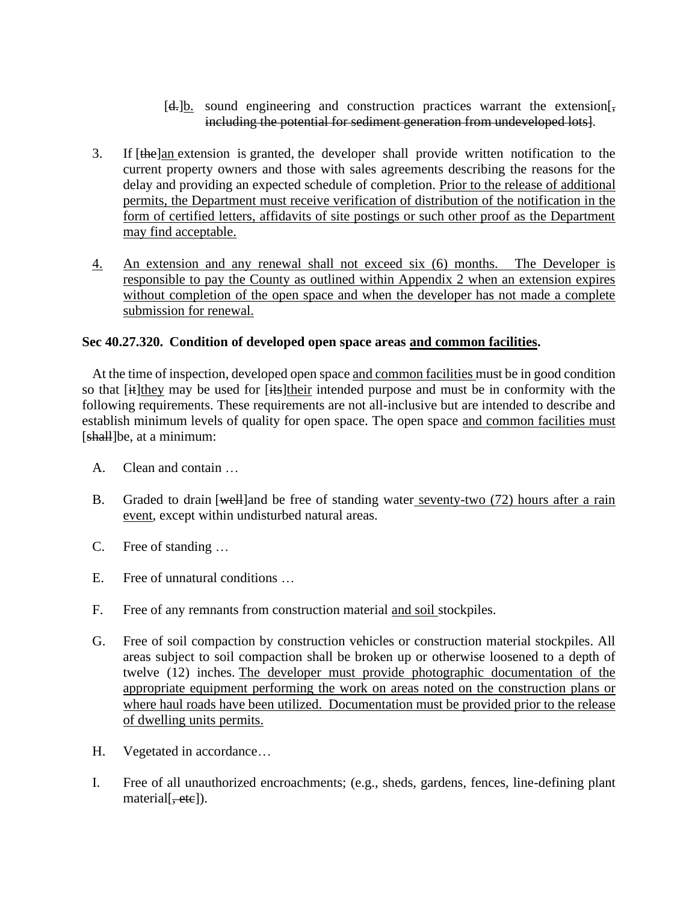## $[d, ]b$ . sound engineering and construction practices warrant the extension. including the potential for sediment generation from undeveloped lots].

- 3. If  $[the]$ an extension is granted, the developer shall provide written notification to the current property owners and those with sales agreements describing the reasons for the delay and providing an expected schedule of completion. Prior to the release of additional permits, the Department must receive verification of distribution of the notification in the form of certified letters, affidavits of site postings or such other proof as the Department may find acceptable.
- 4. An extension and any renewal shall not exceed six (6) months. The Developer is responsible to pay the County as outlined within Appendix 2 when an extension expires without completion of the open space and when the developer has not made a complete submission for renewal.

## **Sec 40.27.320. Condition of developed open space areas and common facilities.**

At the time of inspection, developed open space and common facilities must be in good condition so that [it]they may be used for [its]their intended purpose and must be in conformity with the following requirements. These requirements are not all-inclusive but are intended to describe and establish minimum levels of quality for open space. The open space and common facilities must [shall]be, at a minimum:

- A. Clean and contain …
- B. Graded to drain [well]and be free of standing water seventy-two (72) hours after a rain event, except within undisturbed natural areas.
- C. Free of standing …
- E. Free of unnatural conditions …
- F. Free of any remnants from construction material and soil stockpiles.
- G. Free of soil compaction by construction vehicles or construction material stockpiles. All areas subject to soil compaction shall be broken up or otherwise loosened to a depth of twelve (12) inches. The developer must provide photographic documentation of the appropriate equipment performing the work on areas noted on the construction plans or where haul roads have been utilized. Documentation must be provided prior to the release of dwelling units permits.
- H. Vegetated in accordance…
- I. Free of all unauthorized encroachments; (e.g., sheds, gardens, fences, line-defining plant material [, etc]).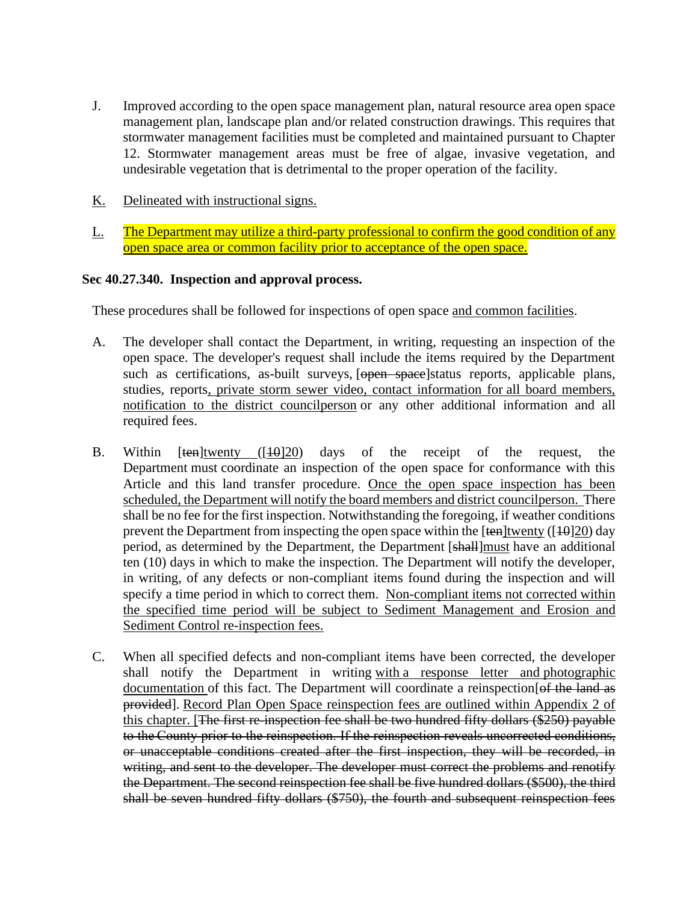- J. Improved according to the open space management plan, natural resource area open space management plan, landscape plan and/or related construction drawings. This requires that stormwater management facilities must be completed and maintained pursuant to Chapter 12. Stormwater management areas must be free of algae, invasive vegetation, and undesirable vegetation that is detrimental to the proper operation of the facility.
- K. Delineated with instructional signs.
- L. The Department may utilize a third-party professional to confirm the good condition of any open space area or common facility prior to acceptance of the open space.

#### **Sec 40.27.340. Inspection and approval process.**

These procedures shall be followed for inspections of open space and common facilities.

- A. The developer shall contact the Department, in writing, requesting an inspection of the open space. The developer's request shall include the items required by the Department such as certifications, as-built surveys, [open space]status reports, applicable plans, studies, reports, private storm sewer video, contact information for all board members, notification to the district councilperson or any other additional information and all required fees.
- B. Within  $[ten]$ twenty  $([10]20)$  days of the receipt of the request, the Department must coordinate an inspection of the open space for conformance with this Article and this land transfer procedure. Once the open space inspection has been scheduled, the Department will notify the board members and district councilperson. There shall be no fee for the first inspection. Notwithstanding the foregoing, if weather conditions prevent the Department from inspecting the open space within the  $[ten]$ twenty ( $[10]20$ ) day period, as determined by the Department, the Department [shall]must have an additional ten (10) days in which to make the inspection. The Department will notify the developer, in writing, of any defects or non-compliant items found during the inspection and will specify a time period in which to correct them. Non-compliant items not corrected within the specified time period will be subject to Sediment Management and Erosion and Sediment Control re-inspection fees.
- C. When all specified defects and non-compliant items have been corrected, the developer shall notify the Department in writing with a response letter and photographic documentation of this fact. The Department will coordinate a reinspection [of the land as provided]. Record Plan Open Space reinspection fees are outlined within Appendix 2 of this chapter. [The first re-inspection fee shall be two hundred fifty dollars (\$250) payable to the County prior to the reinspection. If the reinspection reveals uncorrected conditions, or unacceptable conditions created after the first inspection, they will be recorded, in writing, and sent to the developer. The developer must correct the problems and renotify the Department. The second reinspection fee shall be five hundred dollars (\$500), the third shall be seven hundred fifty dollars (\$750), the fourth and subsequent reinspection fees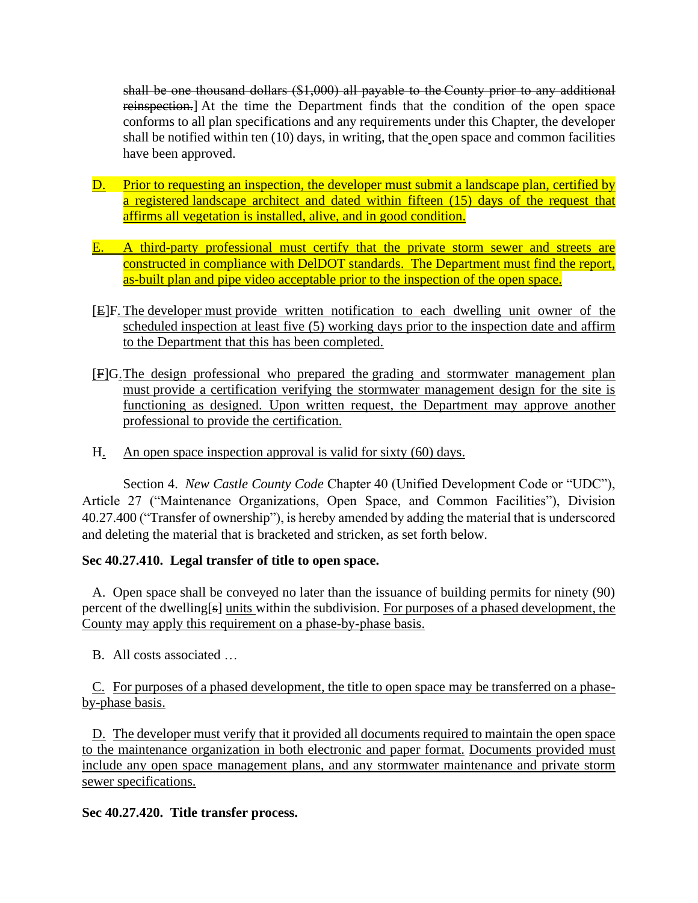shall be one thousand dollars (\$1,000) all payable to the County prior to any additional reinspection.] At the time the Department finds that the condition of the open space conforms to all plan specifications and any requirements under this Chapter, the developer shall be notified within ten (10) days, in writing, that the open space and common facilities have been approved.

- D. Prior to requesting an inspection, the developer must submit a landscape plan, certified by a registered landscape architect and dated within fifteen (15) days of the request that affirms all vegetation is installed, alive, and in good condition.
- E. A third-party professional must certify that the private storm sewer and streets are constructed in compliance with DelDOT standards. The Department must find the report, as-built plan and pipe video acceptable prior to the inspection of the open space.
- [E]F. The developer must provide written notification to each dwelling unit owner of the scheduled inspection at least five (5) working days prior to the inspection date and affirm to the Department that this has been completed.
- [F]G.The design professional who prepared the grading and stormwater management plan must provide a certification verifying the stormwater management design for the site is functioning as designed. Upon written request, the Department may approve another professional to provide the certification.
- H. An open space inspection approval is valid for sixty (60) days.

Section 4. *New Castle County Code* Chapter 40 (Unified Development Code or "UDC"), Article 27 ("Maintenance Organizations, Open Space, and Common Facilities"), Division 40.27.400 ("Transfer of ownership"), is hereby amended by adding the material that is underscored and deleting the material that is bracketed and stricken, as set forth below.

# **Sec 40.27.410. Legal transfer of title to open space.**

A. Open space shall be conveyed no later than the issuance of building permits for ninety (90) percent of the dwelling[s] units within the subdivision. For purposes of a phased development, the County may apply this requirement on a phase-by-phase basis.

B. All costs associated …

C. For purposes of a phased development, the title to open space may be transferred on a phaseby-phase basis.

D. The developer must verify that it provided all documents required to maintain the open space to the maintenance organization in both electronic and paper format. Documents provided must include any open space management plans, and any stormwater maintenance and private storm sewer specifications.

**Sec 40.27.420. Title transfer process.**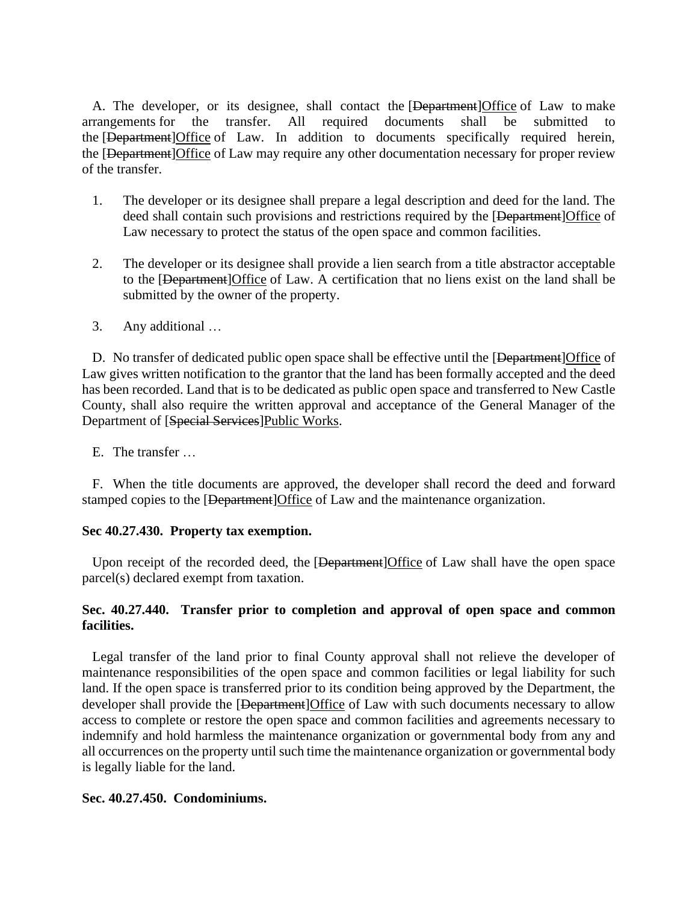A. The developer, or its designee, shall contact the [Department] Office of Law to make arrangements for the transfer. All required documents shall be submitted to the [Department]Office of Law. In addition to documents specifically required herein, the [Department]Office of Law may require any other documentation necessary for proper review of the transfer.

- 1. The developer or its designee shall prepare a legal description and deed for the land. The deed shall contain such provisions and restrictions required by the [Department]Office of Law necessary to protect the status of the open space and common facilities.
- 2. The developer or its designee shall provide a lien search from a title abstractor acceptable to the [Department]Office of Law. A certification that no liens exist on the land shall be submitted by the owner of the property.
- 3. Any additional …

D. No transfer of dedicated public open space shall be effective until the [Department]Office of Law gives written notification to the grantor that the land has been formally accepted and the deed has been recorded. Land that is to be dedicated as public open space and transferred to New Castle County, shall also require the written approval and acceptance of the General Manager of the Department of [Special Services]Public Works.

E. The transfer …

F. When the title documents are approved, the developer shall record the deed and forward stamped copies to the [<del>Department</del>]Office of Law and the maintenance organization.

#### **Sec 40.27.430. Property tax exemption.**

Upon receipt of the recorded deed, the [Department]Office of Law shall have the open space parcel(s) declared exempt from taxation.

## **Sec. 40.27.440. Transfer prior to completion and approval of open space and common facilities.**

Legal transfer of the land prior to final County approval shall not relieve the developer of maintenance responsibilities of the open space and common facilities or legal liability for such land. If the open space is transferred prior to its condition being approved by the Department, the developer shall provide the [Department]Office of Law with such documents necessary to allow access to complete or restore the open space and common facilities and agreements necessary to indemnify and hold harmless the maintenance organization or governmental body from any and all occurrences on the property until such time the maintenance organization or governmental body is legally liable for the land.

#### **Sec. 40.27.450. Condominiums.**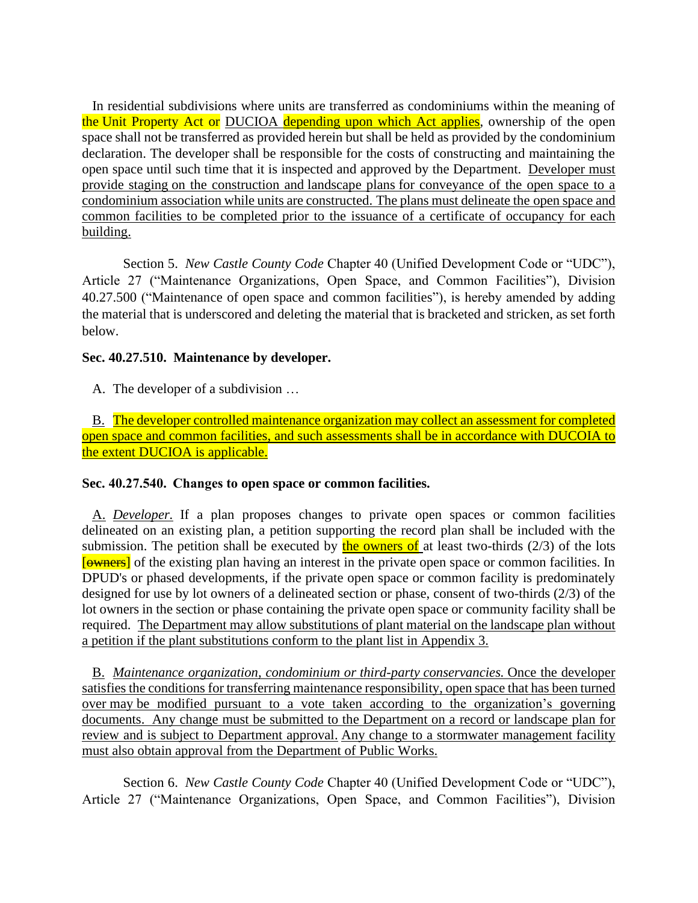In residential subdivisions where units are transferred as condominiums within the meaning of the Unit Property Act or DUCIOA depending upon which Act applies, ownership of the open space shall not be transferred as provided herein but shall be held as provided by the condominium declaration. The developer shall be responsible for the costs of constructing and maintaining the open space until such time that it is inspected and approved by the Department. Developer must provide staging on the construction and landscape plans for conveyance of the open space to a condominium association while units are constructed. The plans must delineate the open space and common facilities to be completed prior to the issuance of a certificate of occupancy for each building.

Section 5. *New Castle County Code* Chapter 40 (Unified Development Code or "UDC"), Article 27 ("Maintenance Organizations, Open Space, and Common Facilities"), Division 40.27.500 ("Maintenance of open space and common facilities"), is hereby amended by adding the material that is underscored and deleting the material that is bracketed and stricken, as set forth below.

# **Sec. 40.27.510. Maintenance by developer.**

A. The developer of a subdivision …

B. The developer controlled maintenance organization may collect an assessment for completed open space and common facilities, and such assessments shall be in accordance with DUCOIA to the extent DUCIOA is applicable.

# **Sec. 40.27.540.  Changes to open space or common facilities.**

A. *Developer.* If a plan proposes changes to private open spaces or common facilities delineated on an existing plan, a petition supporting the record plan shall be included with the submission. The petition shall be executed by the owners of at least two-thirds ( $2/3$ ) of the lots [owners] of the existing plan having an interest in the private open space or common facilities. In DPUD's or phased developments, if the private open space or common facility is predominately designed for use by lot owners of a delineated section or phase, consent of two-thirds (2/3) of the lot owners in the section or phase containing the private open space or community facility shall be required. The Department may allow substitutions of plant material on the landscape plan without a petition if the plant substitutions conform to the plant list in Appendix 3.

B. *Maintenance organization, condominium or third-party conservancies.* Once the developer satisfies the conditions for transferring maintenance responsibility, open space that has been turned over may be modified pursuant to a vote taken according to the organization's governing documents. Any change must be submitted to the Department on a record or landscape plan for review and is subject to Department approval. Any change to a stormwater management facility must also obtain approval from the Department of Public Works.

Section 6. *New Castle County Code* Chapter 40 (Unified Development Code or "UDC"), Article 27 ("Maintenance Organizations, Open Space, and Common Facilities"), Division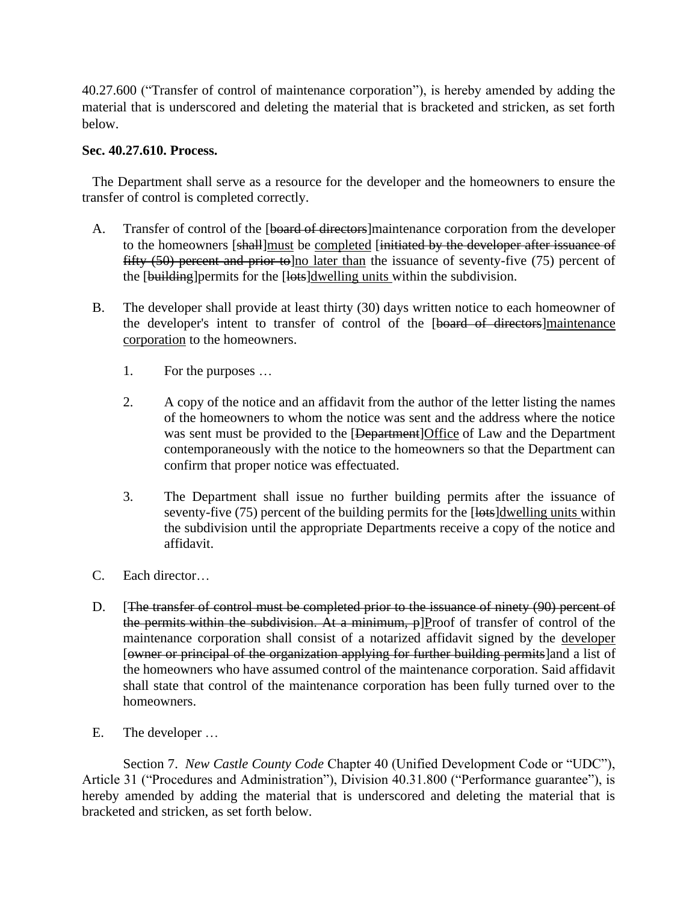40.27.600 ("Transfer of control of maintenance corporation"), is hereby amended by adding the material that is underscored and deleting the material that is bracketed and stricken, as set forth below.

### **Sec. 40.27.610. Process.**

The Department shall serve as a resource for the developer and the homeowners to ensure the transfer of control is completed correctly.

- A. Transfer of control of the [board of directors]maintenance corporation from the developer to the homeowners [shall]must be completed [initiated by the developer after issuance of fifty  $(50)$  percent and prior to lno later than the issuance of seventy-five  $(75)$  percent of the [building] permits for the [lots] dwelling units within the subdivision.
- B. The developer shall provide at least thirty (30) days written notice to each homeowner of the developer's intent to transfer of control of the [board of directors]maintenance corporation to the homeowners.
	- 1. For the purposes …
	- 2. A copy of the notice and an affidavit from the author of the letter listing the names of the homeowners to whom the notice was sent and the address where the notice was sent must be provided to the [Department]Office of Law and the Department contemporaneously with the notice to the homeowners so that the Department can confirm that proper notice was effectuated.
	- 3. The Department shall issue no further building permits after the issuance of seventy-five (75) percent of the building permits for the [lots]dwelling units within the subdivision until the appropriate Departments receive a copy of the notice and affidavit.
- C. Each director…
- D. [The transfer of control must be completed prior to the issuance of ninety (90) percent of the permits within the subdivision. At a minimum, p]Proof of transfer of control of the maintenance corporation shall consist of a notarized affidavit signed by the developer [owner or principal of the organization applying for further building permits]and a list of the homeowners who have assumed control of the maintenance corporation. Said affidavit shall state that control of the maintenance corporation has been fully turned over to the homeowners.
- E. The developer …

Section 7. *New Castle County Code* Chapter 40 (Unified Development Code or "UDC"), Article 31 ("Procedures and Administration"), Division 40.31.800 ("Performance guarantee"), is hereby amended by adding the material that is underscored and deleting the material that is bracketed and stricken, as set forth below.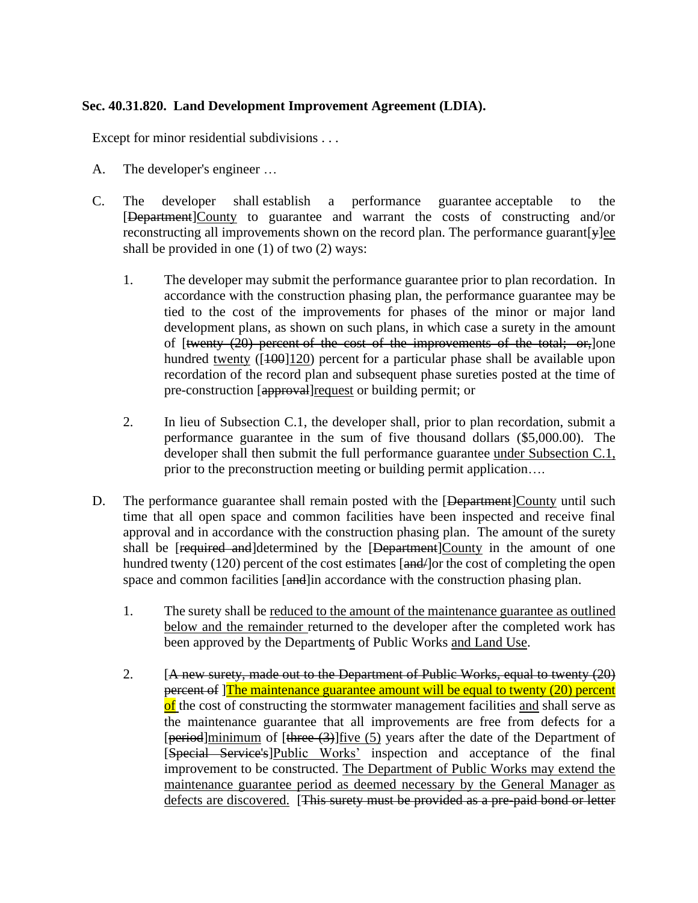# **Sec. 40.31.820. Land Development Improvement Agreement (LDIA).**

Except for minor residential subdivisions . . .

- A. The developer's engineer …
- C. The developer shall establish a performance guarantee acceptable to the [Department]County to guarantee and warrant the costs of constructing and/or reconstructing all improvements shown on the record plan. The performance guarant[y]ee shall be provided in one (1) of two (2) ways:
	- 1. The developer may submit the performance guarantee prior to plan recordation. In accordance with the construction phasing plan, the performance guarantee may be tied to the cost of the improvements for phases of the minor or major land development plans, as shown on such plans, in which case a surety in the amount of [twenty (20) percent of the cost of the improvements of the total; or,]one hundred twenty ( $[100]120$ ) percent for a particular phase shall be available upon recordation of the record plan and subsequent phase sureties posted at the time of pre-construction [approval]request or building permit; or
	- 2. In lieu of Subsection C.1, the developer shall, prior to plan recordation, submit a performance guarantee in the sum of five thousand dollars (\$5,000.00). The developer shall then submit the full performance guarantee under Subsection C.1, prior to the preconstruction meeting or building permit application….
- D. The performance guarantee shall remain posted with the [Department]County until such time that all open space and common facilities have been inspected and receive final approval and in accordance with the construction phasing plan. The amount of the surety shall be [required and]determined by the [Department]County in the amount of one hundred twenty (120) percent of the cost estimates [and-] or the cost of completing the open space and common facilities [and] in accordance with the construction phasing plan.
	- 1. The surety shall be reduced to the amount of the maintenance guarantee as outlined below and the remainder returned to the developer after the completed work has been approved by the Departments of Public Works and Land Use.
	- 2. [A new surety, made out to the Department of Public Works, equal to twenty (20) percent of ]The maintenance guarantee amount will be equal to twenty (20) percent of the cost of constructing the stormwater management facilities and shall serve as the maintenance guarantee that all improvements are free from defects for a [period]minimum of [three (3)] five (5) years after the date of the Department of [Special Service's]Public Works' inspection and acceptance of the final improvement to be constructed. The Department of Public Works may extend the maintenance guarantee period as deemed necessary by the General Manager as defects are discovered. [This surety must be provided as a pre-paid bond or letter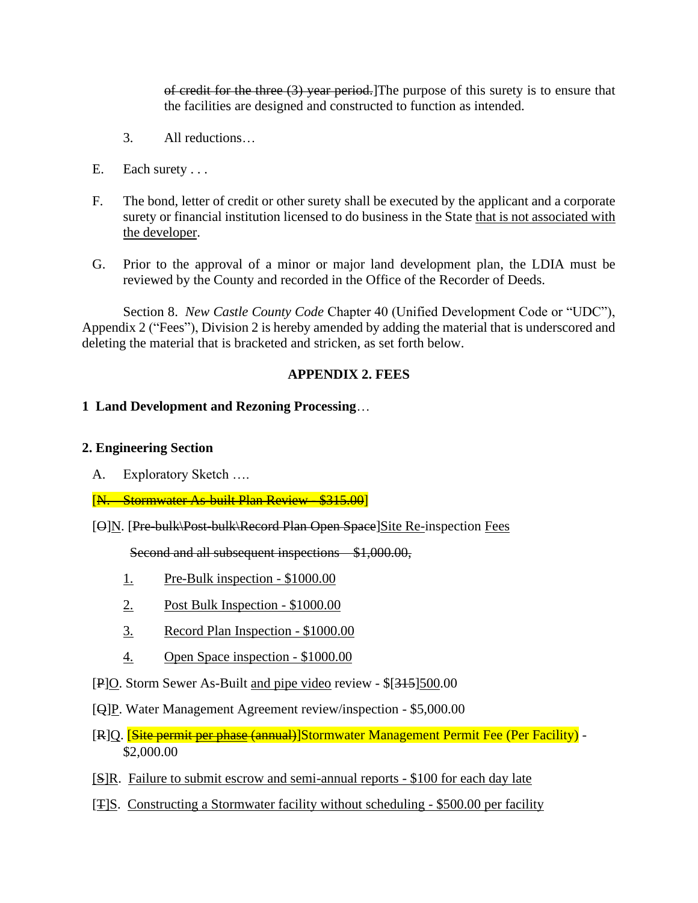of credit for the three (3) year period.]The purpose of this surety is to ensure that the facilities are designed and constructed to function as intended.

- 3. All reductions…
- E. Each surety . . .
- F. The bond, letter of credit or other surety shall be executed by the applicant and a corporate surety or financial institution licensed to do business in the State that is not associated with the developer.
- G. Prior to the approval of a minor or major land development plan, the LDIA must be reviewed by the County and recorded in the Office of the Recorder of Deeds.

Section 8. *New Castle County Code* Chapter 40 (Unified Development Code or "UDC"), Appendix 2 ("Fees"), Division 2 is hereby amended by adding the material that is underscored and deleting the material that is bracketed and stricken, as set forth below.

#### **APPENDIX 2. FEES**

#### **1 Land Development and Rezoning Processing**…

#### **2. Engineering Section**

A. Exploratory Sketch ….

[N. Stormwater As-built Plan Review - \$315.00]

[O]N. [Pre-bulk\Post-bulk\Record Plan Open Space]Site Re-inspection Fees

Second and all subsequent inspections – \$1,000.00,

- 1. Pre-Bulk inspection \$1000.00
- 2. Post Bulk Inspection \$1000.00
- 3. Record Plan Inspection \$1000.00
- 4. Open Space inspection \$1000.00
- [P]O. Storm Sewer As-Built and pipe video review \$[315]500.00
- [Q]P. Water Management Agreement review/inspection \$5,000.00
- [R]Q. **[Site permit per phase (annual)**]Stormwater Management Permit Fee (Per Facility) -\$2,000.00
- [S]R. Failure to submit escrow and semi-annual reports \$100 for each day late
- [T]S. Constructing a Stormwater facility without scheduling \$500.00 per facility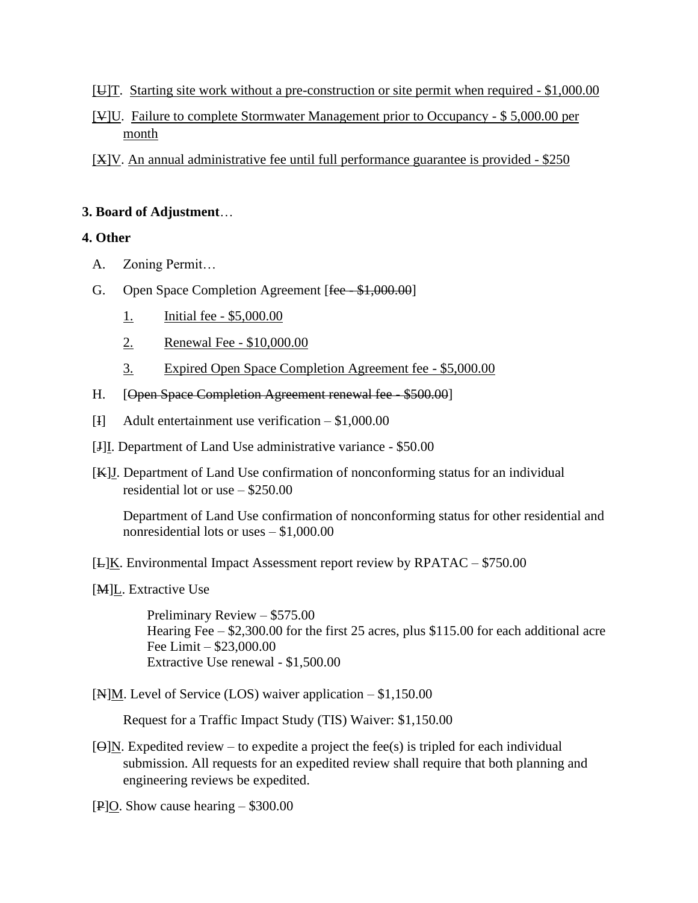- [U]T. Starting site work without a pre-construction or site permit when required \$1,000.00
- [V]U. Failure to complete Stormwater Management prior to Occupancy \$ 5,000.00 per month
- [X]V. An annual administrative fee until full performance guarantee is provided \$250

### **3. Board of Adjustment**…

## **4. Other**

- A. Zoning Permit…
- G. Open Space Completion Agreement [fee \$1,000.00]
	- 1. Initial fee \$5,000.00
	- 2. Renewal Fee \$10,000.00
	- 3. Expired Open Space Completion Agreement fee \$5,000.00
- H. **[Open Space Completion Agreement renewal fee \$500.00]**
- [I] Adult entertainment use verification \$1,000.00
- [J]I. Department of Land Use administrative variance \$50.00
- [K]J. Department of Land Use confirmation of nonconforming status for an individual residential lot or use – \$250.00

Department of Land Use confirmation of nonconforming status for other residential and nonresidential lots or uses – \$1,000.00

- $[E]K$ . Environmental Impact Assessment report review by RPATAC \$750.00
- [M]L. Extractive Use

 Preliminary Review – \$575.00 Hearing Fee – \$2,300.00 for the first 25 acres, plus \$115.00 for each additional acre Fee Limit – \$23,000.00 Extractive Use renewal - \$1,500.00

 $[N]$ M. Level of Service (LOS) waiver application – \$1,150.00

Request for a Traffic Impact Study (TIS) Waiver: \$1,150.00

- $[**\Theta**]$ N. Expedited review to expedite a project the fee(s) is tripled for each individual submission. All requests for an expedited review shall require that both planning and engineering reviews be expedited.
- [P]O. Show cause hearing \$300.00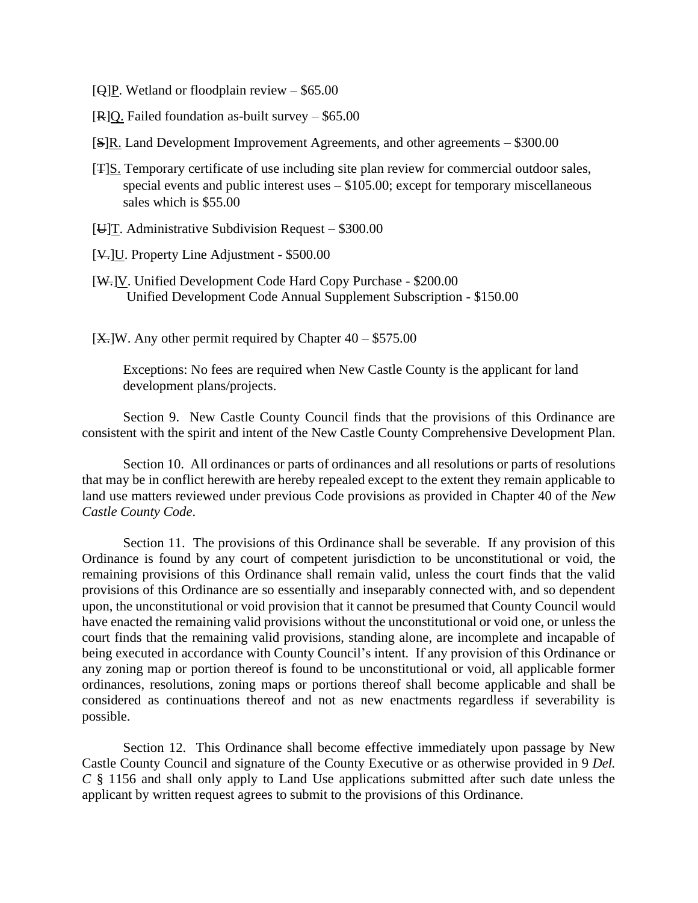- [ $Q$ ]P. Wetland or floodplain review \$65.00
- [R]Q. Failed foundation as-built survey \$65.00
- $[S]$ R. Land Development Improvement Agreements, and other agreements \$300.00
- [T]S. Temporary certificate of use including site plan review for commercial outdoor sales, special events and public interest uses – \$105.00; except for temporary miscellaneous sales which is \$55.00
- [ $\bigcup$ ][. Administrative Subdivision Request \$300.00
- [V.]U. Property Line Adjustment \$500.00
- [W.]V. Unified Development Code Hard Copy Purchase \$200.00 Unified Development Code Annual Supplement Subscription - \$150.00

 $[X$ .]W. Any other permit required by Chapter  $40 - $575.00$ 

Exceptions: No fees are required when New Castle County is the applicant for land development plans/projects.

Section 9. New Castle County Council finds that the provisions of this Ordinance are consistent with the spirit and intent of the New Castle County Comprehensive Development Plan.

Section 10. All ordinances or parts of ordinances and all resolutions or parts of resolutions that may be in conflict herewith are hereby repealed except to the extent they remain applicable to land use matters reviewed under previous Code provisions as provided in Chapter 40 of the *New Castle County Code*.

Section 11. The provisions of this Ordinance shall be severable. If any provision of this Ordinance is found by any court of competent jurisdiction to be unconstitutional or void, the remaining provisions of this Ordinance shall remain valid, unless the court finds that the valid provisions of this Ordinance are so essentially and inseparably connected with, and so dependent upon, the unconstitutional or void provision that it cannot be presumed that County Council would have enacted the remaining valid provisions without the unconstitutional or void one, or unless the court finds that the remaining valid provisions, standing alone, are incomplete and incapable of being executed in accordance with County Council's intent. If any provision of this Ordinance or any zoning map or portion thereof is found to be unconstitutional or void, all applicable former ordinances, resolutions, zoning maps or portions thereof shall become applicable and shall be considered as continuations thereof and not as new enactments regardless if severability is possible.

Section 12. This Ordinance shall become effective immediately upon passage by New Castle County Council and signature of the County Executive or as otherwise provided in 9 *Del. C* § 1156 and shall only apply to Land Use applications submitted after such date unless the applicant by written request agrees to submit to the provisions of this Ordinance.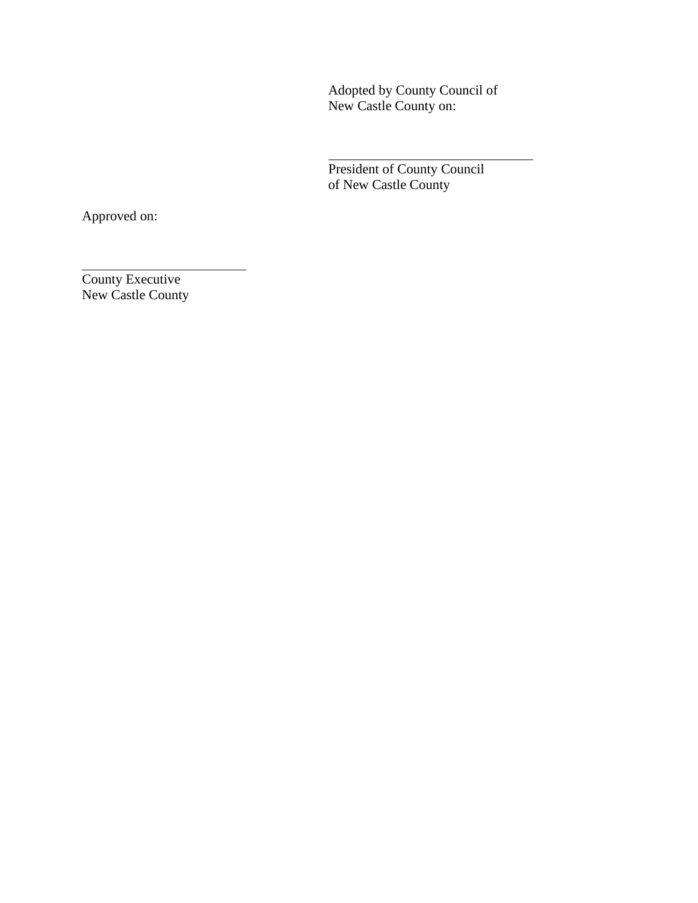Adopted by County Council of New Castle County on:

President of County Council of New Castle County

Approved on:

County Executive New Castle County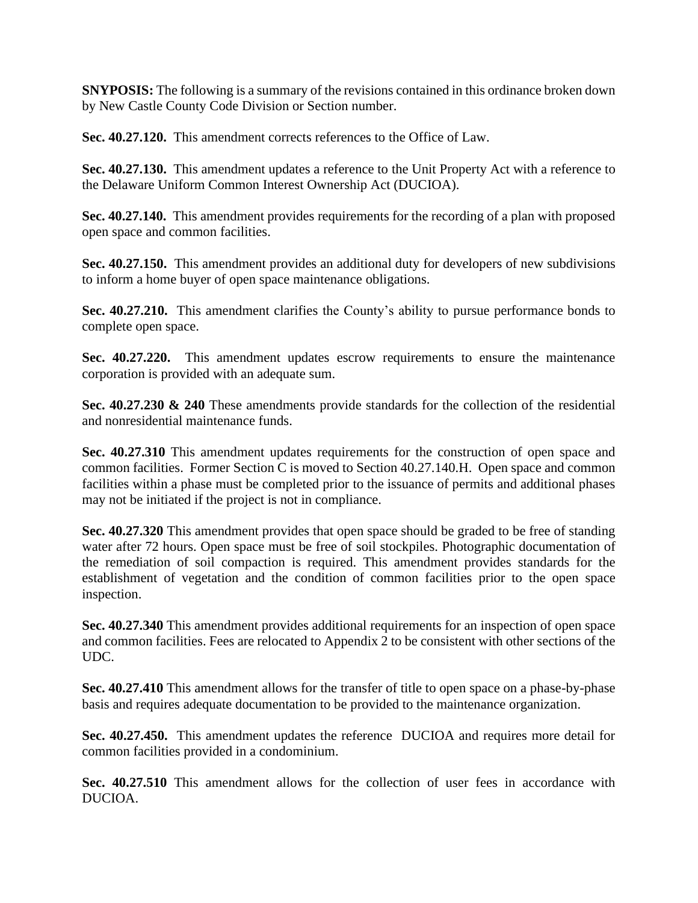**SNYPOSIS:** The following is a summary of the revisions contained in this ordinance broken down by New Castle County Code Division or Section number.

**Sec. 40.27.120.** This amendment corrects references to the Office of Law.

**Sec. 40.27.130.** This amendment updates a reference to the Unit Property Act with a reference to the Delaware Uniform Common Interest Ownership Act (DUCIOA).

**Sec. 40.27.140.** This amendment provides requirements for the recording of a plan with proposed open space and common facilities.

**Sec. 40.27.150.** This amendment provides an additional duty for developers of new subdivisions to inform a home buyer of open space maintenance obligations.

**Sec. 40.27.210.** This amendment clarifies the County's ability to pursue performance bonds to complete open space.

**Sec. 40.27.220.** This amendment updates escrow requirements to ensure the maintenance corporation is provided with an adequate sum.

**Sec. 40.27.230 & 240** These amendments provide standards for the collection of the residential and nonresidential maintenance funds.

**Sec. 40.27.310** This amendment updates requirements for the construction of open space and common facilities. Former Section C is moved to Section 40.27.140.H. Open space and common facilities within a phase must be completed prior to the issuance of permits and additional phases may not be initiated if the project is not in compliance.

**Sec. 40.27.320** This amendment provides that open space should be graded to be free of standing water after 72 hours. Open space must be free of soil stockpiles. Photographic documentation of the remediation of soil compaction is required. This amendment provides standards for the establishment of vegetation and the condition of common facilities prior to the open space inspection.

**Sec. 40.27.340** This amendment provides additional requirements for an inspection of open space and common facilities. Fees are relocated to Appendix 2 to be consistent with other sections of the UDC.

**Sec. 40.27.410** This amendment allows for the transfer of title to open space on a phase-by-phase basis and requires adequate documentation to be provided to the maintenance organization.

**Sec. 40.27.450.** This amendment updates the reference DUCIOA and requires more detail for common facilities provided in a condominium.

**Sec. 40.27.510** This amendment allows for the collection of user fees in accordance with DUCIOA.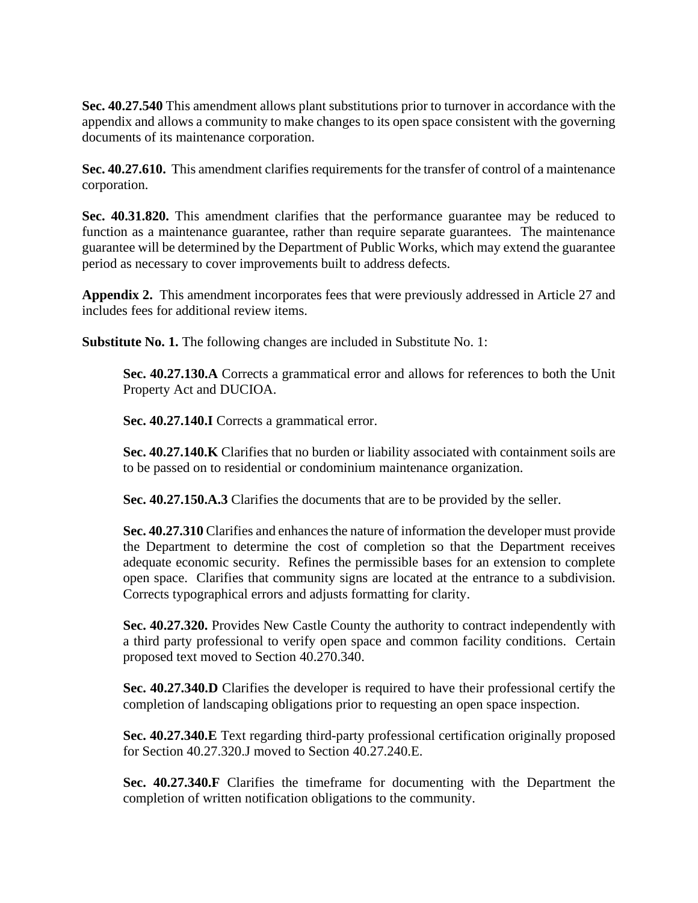**Sec. 40.27.540** This amendment allows plant substitutions prior to turnover in accordance with the appendix and allows a community to make changes to its open space consistent with the governing documents of its maintenance corporation.

**Sec. 40.27.610.** This amendment clarifies requirements for the transfer of control of a maintenance corporation.

**Sec. 40.31.820.** This amendment clarifies that the performance guarantee may be reduced to function as a maintenance guarantee, rather than require separate guarantees. The maintenance guarantee will be determined by the Department of Public Works, which may extend the guarantee period as necessary to cover improvements built to address defects.

**Appendix 2.** This amendment incorporates fees that were previously addressed in Article 27 and includes fees for additional review items.

**Substitute No. 1.** The following changes are included in Substitute No. 1:

**Sec. 40.27.130.A** Corrects a grammatical error and allows for references to both the Unit Property Act and DUCIOA.

Sec. 40.27.140.I Corrects a grammatical error.

**Sec. 40.27.140.K** Clarifies that no burden or liability associated with containment soils are to be passed on to residential or condominium maintenance organization.

**Sec. 40.27.150.A.3** Clarifies the documents that are to be provided by the seller.

**Sec. 40.27.310** Clarifies and enhances the nature of information the developer must provide the Department to determine the cost of completion so that the Department receives adequate economic security. Refines the permissible bases for an extension to complete open space. Clarifies that community signs are located at the entrance to a subdivision. Corrects typographical errors and adjusts formatting for clarity.

**Sec. 40.27.320.** Provides New Castle County the authority to contract independently with a third party professional to verify open space and common facility conditions. Certain proposed text moved to Section 40.270.340.

**Sec. 40.27.340.D** Clarifies the developer is required to have their professional certify the completion of landscaping obligations prior to requesting an open space inspection.

**Sec. 40.27.340.E** Text regarding third-party professional certification originally proposed for Section 40.27.320.J moved to Section 40.27.240.E.

**Sec. 40.27.340.F** Clarifies the timeframe for documenting with the Department the completion of written notification obligations to the community.